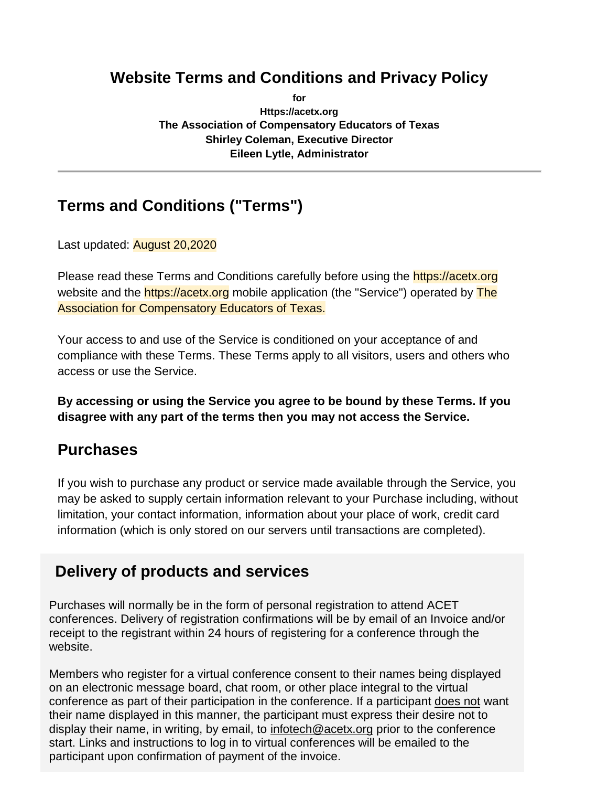# **Website Terms and Conditions and Privacy Policy**

**for Https://acetx.org The Association of Compensatory Educators of Texas Shirley Coleman, Executive Director Eileen Lytle, Administrator**

# **Terms and Conditions ("Terms")**

Last updated: August 20,2020

Please read these Terms and Conditions carefully before using the **https://acetx.org** website and the **https://acetx.org** mobile application (the "Service") operated by **The** Association for Compensatory Educators of Texas.

Your access to and use of the Service is conditioned on your acceptance of and compliance with these Terms. These Terms apply to all visitors, users and others who access or use the Service.

**By accessing or using the Service you agree to be bound by these Terms. If you disagree with any part of the terms then you may not access the Service.**

# **Purchases**

If you wish to purchase any product or service made available through the Service, you may be asked to supply certain information relevant to your Purchase including, without limitation, your contact information, information about your place of work, credit card information (which is only stored on our servers until transactions are completed).

# **Delivery of products and services**

Purchases will normally be in the form of personal registration to attend ACET conferences. Delivery of registration confirmations will be by email of an Invoice and/or receipt to the registrant within 24 hours of registering for a conference through the website.

Members who register for a virtual conference consent to their names being displayed on an electronic message board, chat room, or other place integral to the virtual conference as part of their participation in the conference. If a participant does not want their name displayed in this manner, the participant must express their desire not to display their name, in writing, by email, to infotech@acetx.org prior to the conference start. Links and instructions to log in to virtual conferences will be emailed to the participant upon confirmation of payment of the invoice.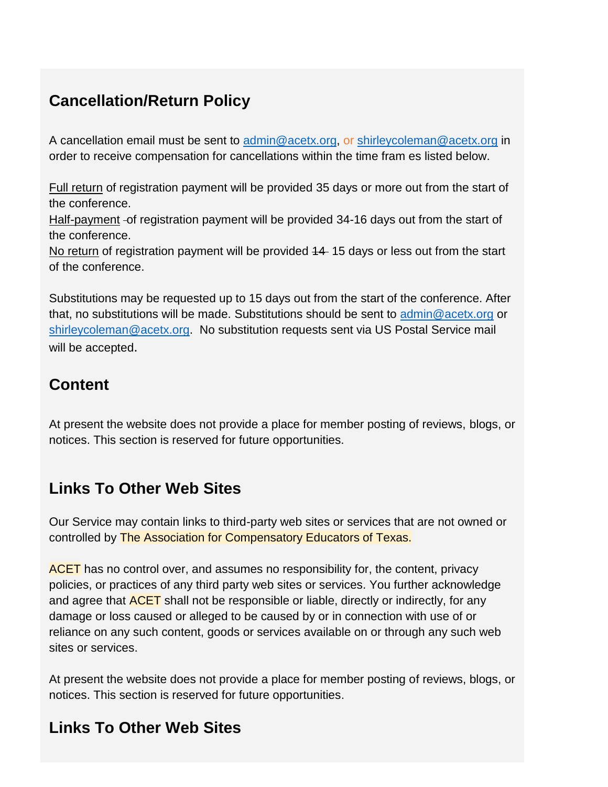# **Cancellation/Return Policy**

A cancellation email must be sent to [admin@acetx.org,](mailto:admin@acetx.org) or [shirleycoleman@acetx.org](mailto:shirleycoleman@acetx.org) in order to receive compensation for cancellations within the time fram es listed below.

Full return of registration payment will be provided 35 days or more out from the start of the conference.

Half-payment - of registration payment will be provided 34-16 days out from the start of the conference.

No return of registration payment will be provided 44-15 days or less out from the start of the conference.

Substitutions may be requested up to 15 days out from the start of the conference. After that, no substitutions will be made. Substitutions should be sent to [admin@acetx.org](mailto:admin@acetx.org) or [shirleycoleman@acetx.org.](mailto:shirleycoleman@acetx.org) No substitution requests sent via US Postal Service mail will be accepted.

# **Content**

At present the website does not provide a place for member posting of reviews, blogs, or notices. This section is reserved for future opportunities.

# **Links To Other Web Sites**

Our Service may contain links to third-party web sites or services that are not owned or controlled by The Association for Compensatory Educators of Texas.

ACET has no control over, and assumes no responsibility for, the content, privacy policies, or practices of any third party web sites or services. You further acknowledge and agree that **ACET** shall not be responsible or liable, directly or indirectly, for any damage or loss caused or alleged to be caused by or in connection with use of or reliance on any such content, goods or services available on or through any such web sites or services.

At present the website does not provide a place for member posting of reviews, blogs, or notices. This section is reserved for future opportunities.

# **Links To Other Web Sites**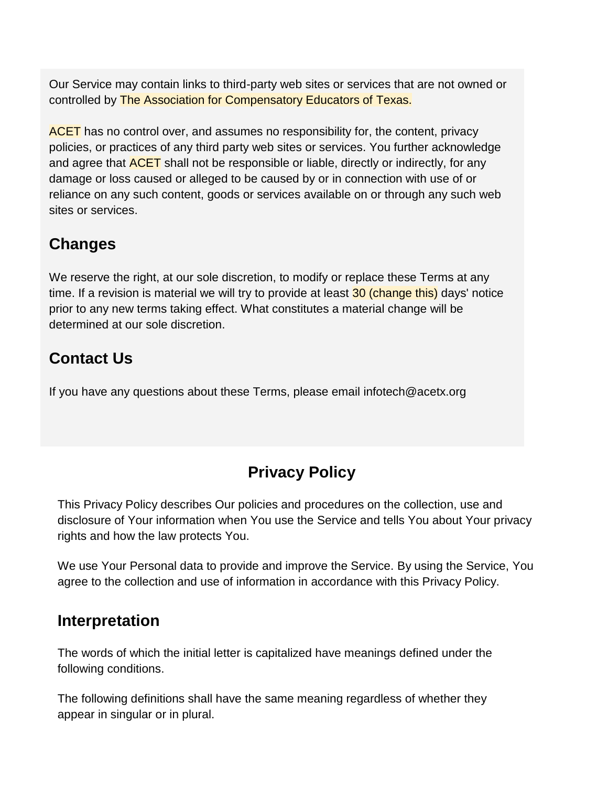Our Service may contain links to third-party web sites or services that are not owned or controlled by The Association for Compensatory Educators of Texas.

ACET has no control over, and assumes no responsibility for, the content, privacy policies, or practices of any third party web sites or services. You further acknowledge and agree that **ACET** shall not be responsible or liable, directly or indirectly, for any damage or loss caused or alleged to be caused by or in connection with use of or reliance on any such content, goods or services available on or through any such web sites or services.

# **Changes**

We reserve the right, at our sole discretion, to modify or replace these Terms at any time. If a revision is material we will try to provide at least 30 (change this) days' notice prior to any new terms taking effect. What constitutes a material change will be determined at our sole discretion.

# **Contact Us**

If you have any questions about these Terms, please email infotech@acetx.org

# **Privacy Policy**

This Privacy Policy describes Our policies and procedures on the collection, use and disclosure of Your information when You use the Service and tells You about Your privacy rights and how the law protects You.

We use Your Personal data to provide and improve the Service. By using the Service, You agree to the collection and use of information in accordance with this Privacy Policy.

# **Interpretation**

The words of which the initial letter is capitalized have meanings defined under the following conditions.

The following definitions shall have the same meaning regardless of whether they appear in singular or in plural.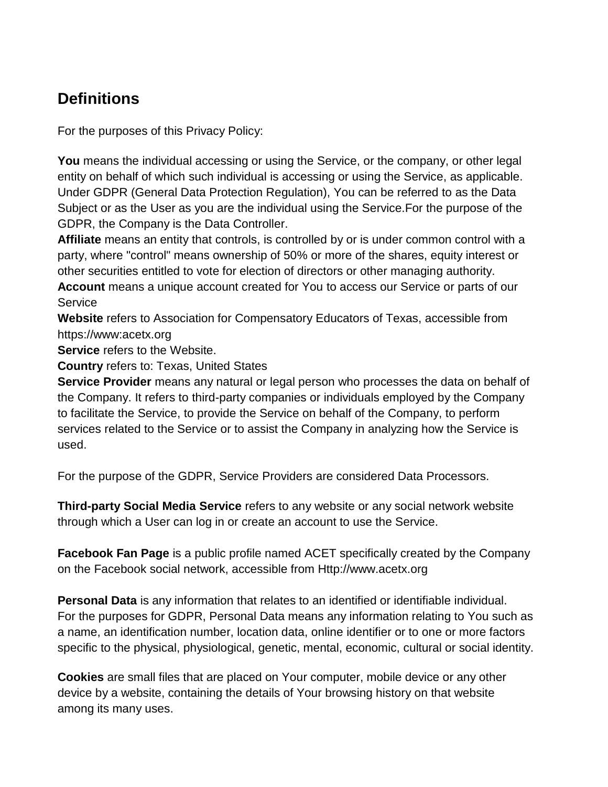# **Definitions**

For the purposes of this Privacy Policy:

**You** means the individual accessing or using the Service, or the company, or other legal entity on behalf of which such individual is accessing or using the Service, as applicable. Under GDPR (General Data Protection Regulation), You can be referred to as the Data Subject or as the User as you are the individual using the Service.For the purpose of the GDPR, the Company is the Data Controller.

**Affiliate** means an entity that controls, is controlled by or is under common control with a party, where "control" means ownership of 50% or more of the shares, equity interest or other securities entitled to vote for election of directors or other managing authority. **Account** means a unique account created for You to access our Service or parts of our **Service** 

**Website** refers to Association for Compensatory Educators of Texas, accessible from https://www:acetx.org

**Service** refers to the Website.

**Country** refers to: Texas, United States

**Service Provider** means any natural or legal person who processes the data on behalf of the Company. It refers to third-party companies or individuals employed by the Company to facilitate the Service, to provide the Service on behalf of the Company, to perform services related to the Service or to assist the Company in analyzing how the Service is used.

For the purpose of the GDPR, Service Providers are considered Data Processors.

**Third-party Social Media Service** refers to any website or any social network website through which a User can log in or create an account to use the Service.

**Facebook Fan Page** is a public profile named ACET specifically created by the Company on the Facebook social network, accessible [from Http://www.acetx.org](http://www.acetx.org/)

**Personal Data** is any information that relates to an identified or identifiable individual. For the purposes for GDPR, Personal Data means any information relating to You such as a name, an identification number, location data, online identifier or to one or more factors specific to the physical, physiological, genetic, mental, economic, cultural or social identity.

**Cookies** are small files that are placed on Your computer, mobile device or any other device by a website, containing the details of Your browsing history on that website among its many uses.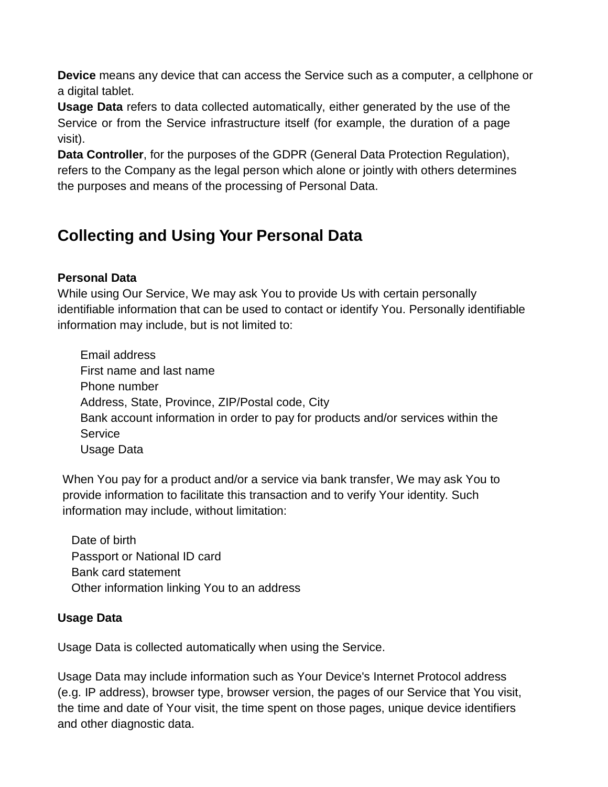**Device** means any device that can access the Service such as a computer, a cellphone or a digital tablet.

**Usage Data** refers to data collected automatically, either generated by the use of the Service or from the Service infrastructure itself (for example, the duration of a page visit).

**Data Controller**, for the purposes of the GDPR (General Data Protection Regulation), refers to the Company as the legal person which alone or jointly with others determines the purposes and means of the processing of Personal Data.

# **Collecting and Using Your Personal Data**

## **Personal Data**

While using Our Service, We may ask You to provide Us with certain personally identifiable information that can be used to contact or identify You. Personally identifiable information may include, but is not limited to:

Email address First name and last name Phone number Address, State, Province, ZIP/Postal code, City Bank account information in order to pay for products and/or services within the Service Usage Data

When You pay for a product and/or a service via bank transfer, We may ask You to provide information to facilitate this transaction and to verify Your identity. Such information may include, without limitation:

Date of birth Passport or National ID card Bank card statement Other information linking You to an address

#### **Usage Data**

Usage Data is collected automatically when using the Service.

Usage Data may include information such as Your Device's Internet Protocol address (e.g. IP address), browser type, browser version, the pages of our Service that You visit, the time and date of Your visit, the time spent on those pages, unique device identifiers and other diagnostic data.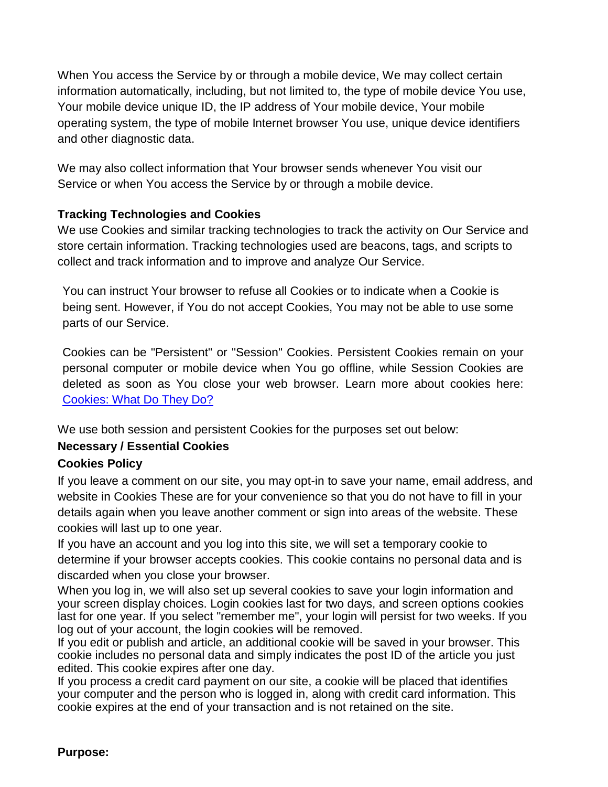When You access the Service by or through a mobile device, We may collect certain information automatically, including, but not limited to, the type of mobile device You use, Your mobile device unique ID, the IP address of Your mobile device, Your mobile operating system, the type of mobile Internet browser You use, unique device identifiers and other diagnostic data.

We may also collect information that Your browser sends whenever You visit our Service or when You access the Service by or through a mobile device.

#### **Tracking Technologies and Cookies**

We use Cookies and similar tracking technologies to track the activity on Our Service and store certain information. Tracking technologies used are beacons, tags, and scripts to collect and track information and to improve and analyze Our Service.

You can instruct Your browser to refuse all Cookies or to indicate when a Cookie is being sent. However, if You do not accept Cookies, You may not be able to use some parts of our Service.

Cookies can be "Persistent" or "Session" Cookies. Persistent Cookies remain on your personal computer or mobile device when You go offline, while Session Cookies are deleted as soon as You close your web browser. Learn more about cookies here: [Cookies: What Do They](https://www.freeprivacypolicy.com/blog/cookies/) Do?

We use both session and persistent Cookies for the purposes set out below:

## **Necessary / Essential Cookies**

## **Cookies Policy**

If you leave a comment on our site, you may opt-in to save your name, email address, and website in Cookies These are for your convenience so that you do not have to fill in your details again when you leave another comment or sign into areas of the website. These cookies will last up to one year.

If you have an account and you log into this site, we will set a temporary cookie to determine if your browser accepts cookies. This cookie contains no personal data and is discarded when you close your browser.

When you log in, we will also set up several cookies to save your login information and your screen display choices. Login cookies last for two days, and screen options cookies last for one year. If you select "remember me", your login will persist for two weeks. If you log out of your account, the login cookies will be removed.

If you edit or publish and article, an additional cookie will be saved in your browser. This cookie includes no personal data and simply indicates the post ID of the article you just edited. This cookie expires after one day.

If you process a credit card payment on our site, a cookie will be placed that identifies your computer and the person who is logged in, along with credit card information. This cookie expires at the end of your transaction and is not retained on the site.

#### **Purpose:**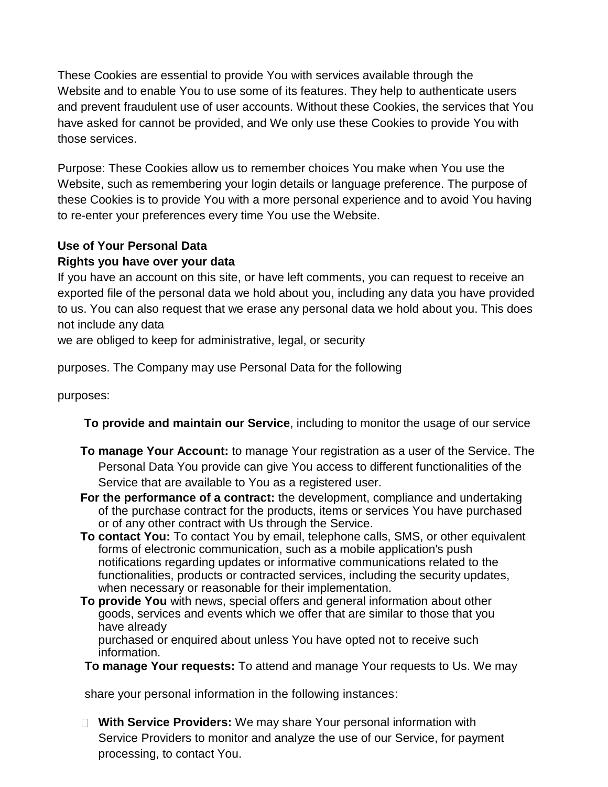These Cookies are essential to provide You with services available through the Website and to enable You to use some of its features. They help to authenticate users and prevent fraudulent use of user accounts. Without these Cookies, the services that You have asked for cannot be provided, and We only use these Cookies to provide You with those services.

Purpose: These Cookies allow us to remember choices You make when You use the Website, such as remembering your login details or language preference. The purpose of these Cookies is to provide You with a more personal experience and to avoid You having to re-enter your preferences every time You use the Website.

## **Use of Your Personal Data**

#### **Rights you have over your data**

If you have an account on this site, or have left comments, you can request to receive an exported file of the personal data we hold about you, including any data you have provided to us. You can also request that we erase any personal data we hold about you. This does not include any data

we are obliged to keep for administrative, legal, or security

purposes. The Company may use Personal Data for the following

purposes:

- **To provide and maintain our Service**, including to monitor the usage of our service
- **To manage Your Account:** to manage Your registration as a user of the Service. The Personal Data You provide can give You access to different functionalities of the Service that are available to You as a registered user.
- **For the performance of a contract:** the development, compliance and undertaking of the purchase contract for the products, items or services You have purchased or of any other contract with Us through the Service.
- **To contact You:** To contact You by email, telephone calls, SMS, or other equivalent forms of electronic communication, such as a mobile application's push notifications regarding updates or informative communications related to the functionalities, products or contracted services, including the security updates, when necessary or reasonable for their implementation.
- **To provide You** with news, special offers and general information about other goods, services and events which we offer that are similar to those that you have already

purchased or enquired about unless You have opted not to receive such information.

**To manage Your requests:** To attend and manage Your requests to Us. We may

share your personal information in the following instances:

**With Service Providers:** We may share Your personal information with Service Providers to monitor and analyze the use of our Service, for payment processing, to contact You.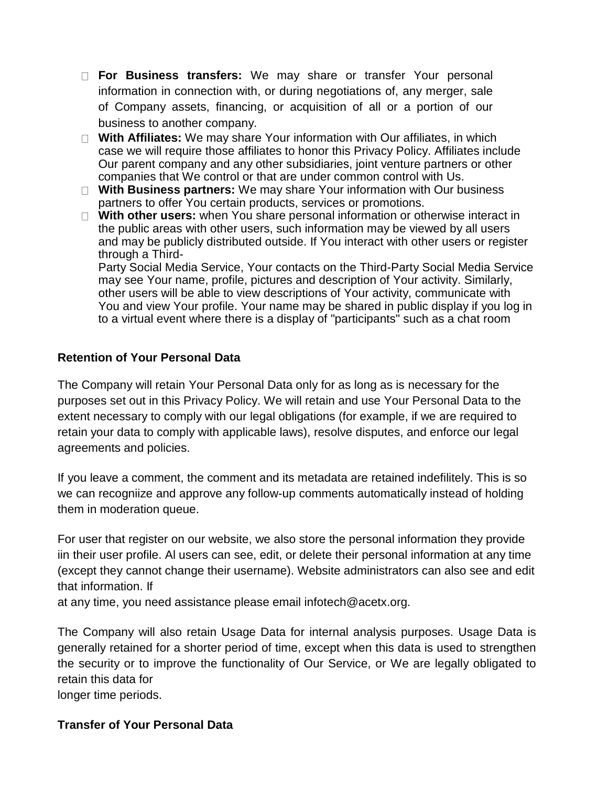- **For Business transfers:** We may share or transfer Your personal information in connection with, or during negotiations of, any merger, sale of Company assets, financing, or acquisition of all or a portion of our business to another company.
- **With Affiliates:** We may share Your information with Our affiliates, in which case we will require those affiliates to honor this Privacy Policy. Affiliates include Our parent company and any other subsidiaries, joint venture partners or other companies that We control or that are under common control with Us.
- □ With Business partners: We may share Your information with Our business partners to offer You certain products, services or promotions.
- **With other users:** when You share personal information or otherwise interact in the public areas with other users, such information may be viewed by all users and may be publicly distributed outside. If You interact with other users or register through a Third-

Party Social Media Service, Your contacts on the Third-Party Social Media Service may see Your name, profile, pictures and description of Your activity. Similarly, other users will be able to view descriptions of Your activity, communicate with You and view Your profile. Your name may be shared in public display if you log in to a virtual event where there is a display of "participants" such as a chat room

#### **Retention of Your Personal Data**

The Company will retain Your Personal Data only for as long as is necessary for the purposes set out in this Privacy Policy. We will retain and use Your Personal Data to the extent necessary to comply with our legal obligations (for example, if we are required to retain your data to comply with applicable laws), resolve disputes, and enforce our legal agreements and policies.

If you leave a comment, the comment and its metadata are retained indefilitely. This is so we can recogniize and approve any follow-up comments automatically instead of holding them in moderation queue.

For user that register on our website, we also store the personal information they provide iin their user profile. Al users can see, edit, or delete their personal information at any time (except they cannot change their username). Website administrators can also see and edit that information. If

at any time, you need assistance please [email infotech@acetx.org](mailto:infotech@acetx.org).

The Company will also retain Usage Data for internal analysis purposes. Usage Data is generally retained for a shorter period of time, except when this data is used to strengthen the security or to improve the functionality of Our Service, or We are legally obligated to retain this data for

longer time periods.

#### **Transfer of Your Personal Data**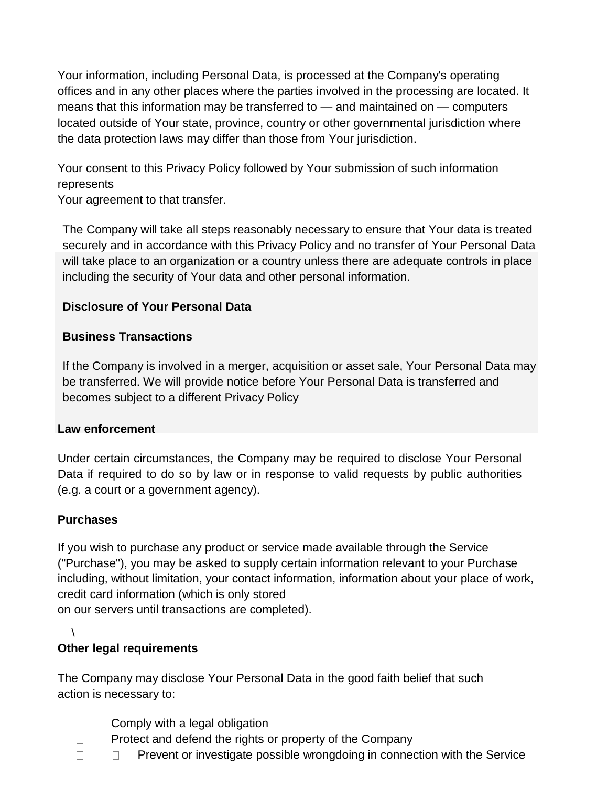Your information, including Personal Data, is processed at the Company's operating offices and in any other places where the parties involved in the processing are located. It means that this information may be transferred to — and maintained on — computers located outside of Your state, province, country or other governmental jurisdiction where the data protection laws may differ than those from Your jurisdiction.

Your consent to this Privacy Policy followed by Your submission of such information represents

Your agreement to that transfer.

The Company will take all steps reasonably necessary to ensure that Your data is treated securely and in accordance with this Privacy Policy and no transfer of Your Personal Data will take place to an organization or a country unless there are adequate controls in place including the security of Your data and other personal information.

### **Disclosure of Your Personal Data**

#### **Business Transactions**

If the Company is involved in a merger, acquisition or asset sale, Your Personal Data may be transferred. We will provide notice before Your Personal Data is transferred and becomes subject to a different Privacy Policy

#### **Law enforcement**

Under certain circumstances, the Company may be required to disclose Your Personal Data if required to do so by law or in response to valid requests by public authorities (e.g. a court or a government agency).

#### **Purchases**

If you wish to purchase any product or service made available through the Service ("Purchase"), you may be asked to supply certain information relevant to your Purchase including, without limitation, your contact information, information about your place of work, credit card information (which is only stored on our servers until transactions are completed).

 $\lambda$ 

## **Other legal requirements**

The Company may disclose Your Personal Data in the good faith belief that such action is necessary to:

- $\Box$ Comply with a legal obligation
- $\Box$ Protect and defend the rights or property of the Company
- $\Box$  Prevent or investigate possible wrongdoing in connection with the Service  $\Box$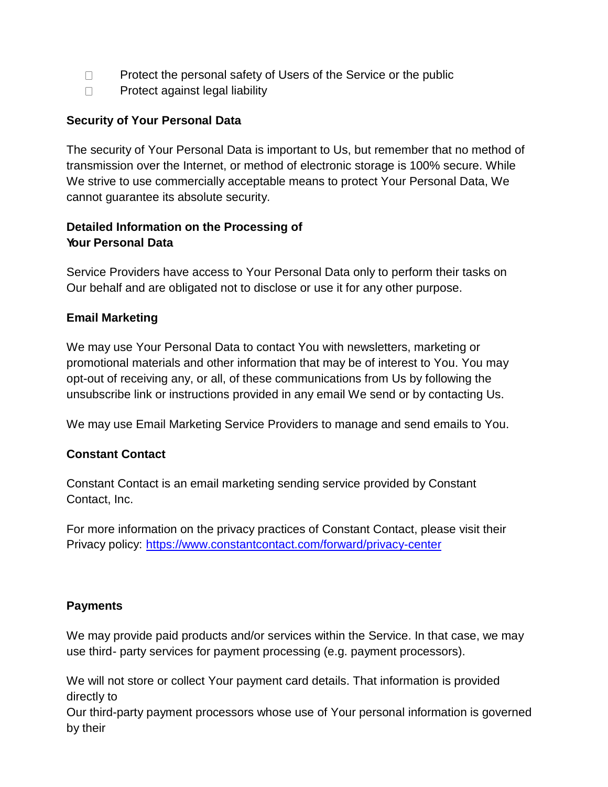- $\Box$ Protect the personal safety of Users of the Service or the public
- Protect against legal liability  $\Box$

#### **Security of Your Personal Data**

The security of Your Personal Data is important to Us, but remember that no method of transmission over the Internet, or method of electronic storage is 100% secure. While We strive to use commercially acceptable means to protect Your Personal Data, We cannot guarantee its absolute security.

### **Detailed Information on the Processing of Your Personal Data**

Service Providers have access to Your Personal Data only to perform their tasks on Our behalf and are obligated not to disclose or use it for any other purpose.

#### **Email Marketing**

We may use Your Personal Data to contact You with newsletters, marketing or promotional materials and other information that may be of interest to You. You may opt-out of receiving any, or all, of these communications from Us by following the unsubscribe link or instructions provided in any email We send or by contacting Us.

We may use Email Marketing Service Providers to manage and send emails to You.

#### **Constant Contact**

Constant Contact is an email marketing sending service provided by Constant Contact, Inc.

For more information on the privacy practices of Constant Contact, please visit their Privacy policy:<https://www.constantcontact.com/forward/privacy-center>

#### **Payments**

We may provide paid products and/or services within the Service. In that case, we may use third- party services for payment processing (e.g. payment processors).

We will not store or collect Your payment card details. That information is provided directly to

Our third-party payment processors whose use of Your personal information is governed by their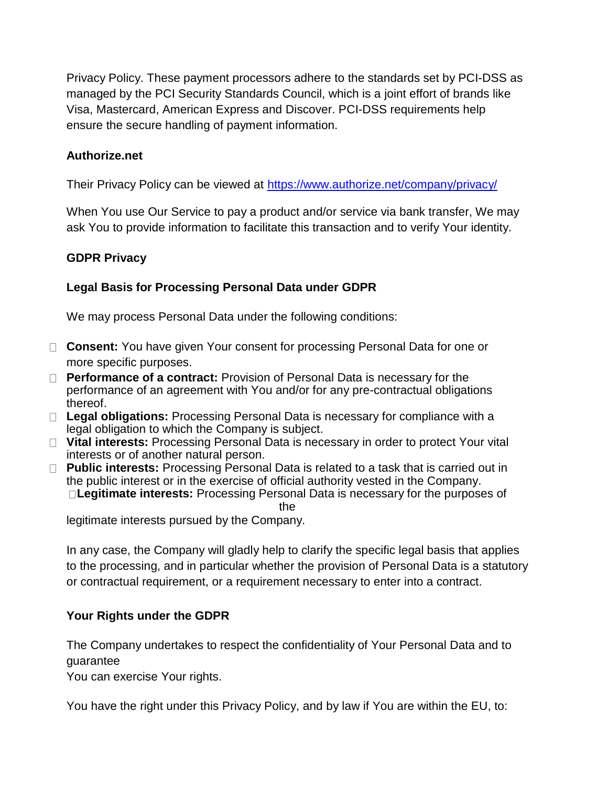Privacy Policy. These payment processors adhere to the standards set by PCI-DSS as managed by the PCI Security Standards Council, which is a joint effort of brands like Visa, Mastercard, American Express and Discover. PCI-DSS requirements help ensure the secure handling of payment information.

#### **Authorize.net**

Their Privacy Policy can be viewed at<https://www.authorize.net/company/privacy/>

When You use Our Service to pay a product and/or service via bank transfer, We may ask You to provide information to facilitate this transaction and to verify Your identity.

#### **GDPR Privacy**

#### **Legal Basis for Processing Personal Data under GDPR**

We may process Personal Data under the following conditions:

- □ **Consent:** You have given Your consent for processing Personal Data for one or more specific purposes.
- **Performance of a contract:** Provision of Personal Data is necessary for the performance of an agreement with You and/or for any pre-contractual obligations thereof.
- □ Legal obligations: Processing Personal Data is necessary for compliance with a legal obligation to which the Company is subject.
- □ Vital interests: Processing Personal Data is necessary in order to protect Your vital interests or of another natural person.
- **Public interests:** Processing Personal Data is related to a task that is carried out in the public interest or in the exercise of official authority vested in the Company. **Legitimate interests:** Processing Personal Data is necessary for the purposes of the

legitimate interests pursued by the Company.

In any case, the Company will gladly help to clarify the specific legal basis that applies to the processing, and in particular whether the provision of Personal Data is a statutory or contractual requirement, or a requirement necessary to enter into a contract.

#### **Your Rights under the GDPR**

The Company undertakes to respect the confidentiality of Your Personal Data and to guarantee

You can exercise Your rights.

You have the right under this Privacy Policy, and by law if You are within the EU, to: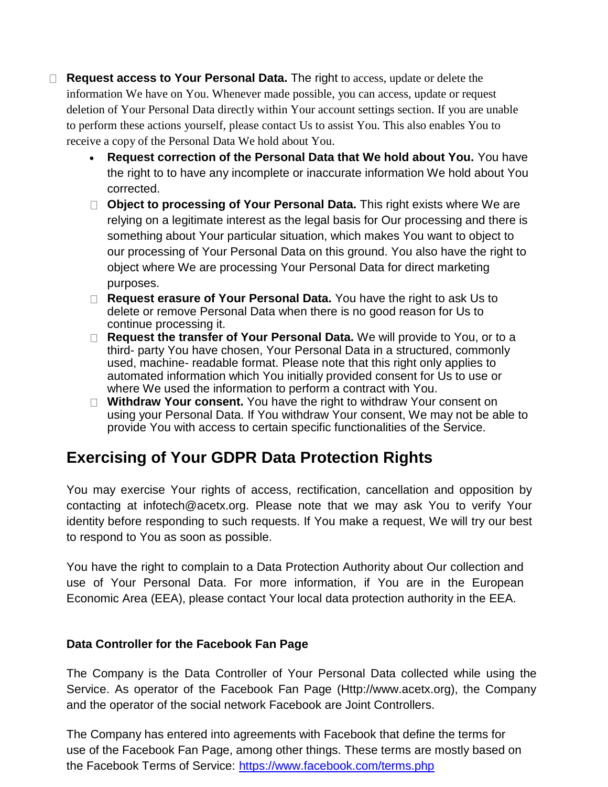**Request access to Your Personal Data.** The right to access, update or delete the information We have on You. Whenever made possible, you can access, update or request deletion of Your Personal Data directly within Your account settings section. If you are unable to perform these actions yourself, please contact Us to assist You. This also enables You to receive a copy of the Personal Data We hold about You.

- **Request correction of the Personal Data that We hold about You.** You have the right to to have any incomplete or inaccurate information We hold about You corrected.
- **Object to processing of Your Personal Data.** This right exists where We are relying on a legitimate interest as the legal basis for Our processing and there is something about Your particular situation, which makes You want to object to our processing of Your Personal Data on this ground. You also have the right to object where We are processing Your Personal Data for direct marketing purposes.
- **Request erasure of Your Personal Data.** You have the right to ask Us to delete or remove Personal Data when there is no good reason for Us to continue processing it.
- **Request the transfer of Your Personal Data.** We will provide to You, or to a third- party You have chosen, Your Personal Data in a structured, commonly used, machine- readable format. Please note that this right only applies to automated information which You initially provided consent for Us to use or where We used the information to perform a contract with You.
- □ Withdraw Your consent. You have the right to withdraw Your consent on using your Personal Data. If You withdraw Your consent, We may not be able to provide You with access to certain specific functionalities of the Service.

# **Exercising of Your GDPR Data Protection Rights**

You may exercise Your rights of access, rectification, cancellation and opposition by contacting at infotech@acetx.org. Please note that we may ask You to verify Your identity before responding to such requests. If You make a request, We will try our best to respond to You as soon as possible.

You have the right to complain to a Data Protection Authority about Our collection and use of Your Personal Data. For more information, if You are in the European Economic Area (EEA), please contact Your local data protection authority in the EEA.

#### **Data Controller for the Facebook Fan Page**

The Company is the Data Controller of Your Personal Data collected while using the Service. As operator of the Facebook Fan Page [\(Http://www.acetx.org](http://www.acetx.org/)), the Company and the operator of the social network Facebook are Joint Controllers.

The Company has entered into agreements with Facebook that define the terms for use of the Facebook Fan Page, among other things. These terms are mostly based on the Facebook Terms of Service:<https://www.facebook.com/terms.php>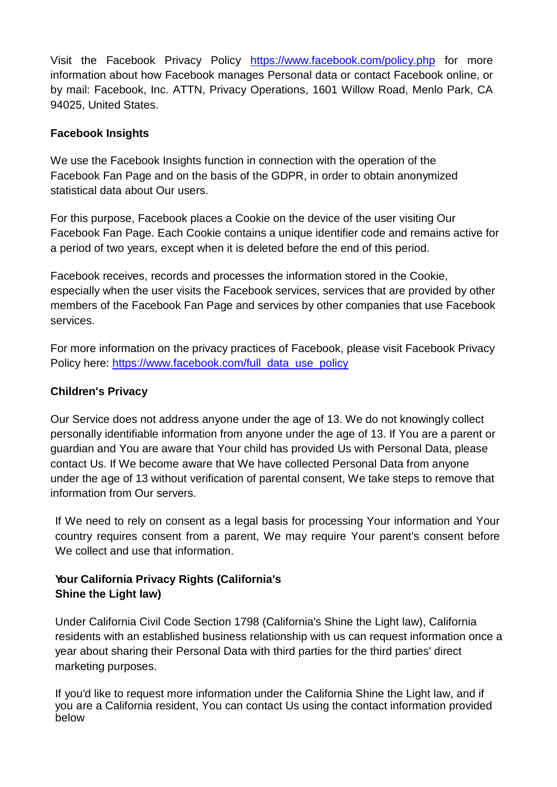Visit the Facebook Privacy Policy <https://www.facebook.com/policy.php> for more information about how Facebook manages Personal data or contact Facebook online, or by mail: Facebook, Inc. ATTN, Privacy Operations, 1601 Willow Road, Menlo Park, CA 94025, United States.

### **Facebook Insights**

We use the Facebook Insights function in connection with the operation of the Facebook Fan Page and on the basis of the GDPR, in order to obtain anonymized statistical data about Our users.

For this purpose, Facebook places a Cookie on the device of the user visiting Our Facebook Fan Page. Each Cookie contains a unique identifier code and remains active for a period of two years, except when it is deleted before the end of this period.

Facebook receives, records and processes the information stored in the Cookie, especially when the user visits the Facebook services, services that are provided by other members of the Facebook Fan Page and services by other companies that use Facebook services.

For more information on the privacy practices of Facebook, please visit Facebook Privacy Policy here: [https://www.facebook.com/full\\_data\\_use\\_policy](https://www.facebook.com/full_data_use_policy)

### **Children's Privacy**

Our Service does not address anyone under the age of 13. We do not knowingly collect personally identifiable information from anyone under the age of 13. If You are a parent or guardian and You are aware that Your child has provided Us with Personal Data, please contact Us. If We become aware that We have collected Personal Data from anyone under the age of 13 without verification of parental consent, We take steps to remove that information from Our servers.

If We need to rely on consent as a legal basis for processing Your information and Your country requires consent from a parent, We may require Your parent's consent before We collect and use that information.

## **Your California Privacy Rights (California's Shine the Light law)**

Under California Civil Code Section 1798 (California's Shine the Light law), California residents with an established business relationship with us can request information once a year about sharing their Personal Data with third parties for the third parties' direct marketing purposes.

If you'd like to request more information under the California Shine the Light law, and if you are a California resident, You can contact Us using the contact information provided below